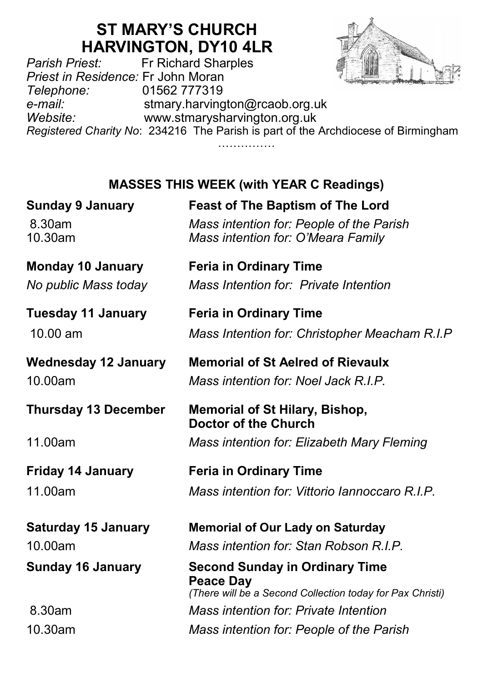# **ST MARY'S CHURCH**

**HARVINGTON, DY10 4LR**<br>Fr Richard Sharples *Parish Priest:* Fr Richard Sharples *Priest in Residence:* Fr John Moran *Telephone:* 01562 777319 *e-mail:* stmary.harvington@rcaob.org.uk *Website:* www.stmarysharvington.org.uk *Registered Charity No*: 234216 The Parish is part of the Archdiocese of Birmingham

# **MASSES THIS WEEK (with YEAR C Readings)**

…………………

| <b>Sunday 9 January</b><br>8.30am<br>10.30am     | <b>Feast of The Baptism of The Lord</b><br>Mass intention for: People of the Parish<br>Mass intention for: O'Meara Family |
|--------------------------------------------------|---------------------------------------------------------------------------------------------------------------------------|
| <b>Monday 10 January</b><br>No public Mass today | <b>Feria in Ordinary Time</b><br>Mass Intention for: Private Intention                                                    |
| <b>Tuesday 11 January</b><br>$10.00 \text{ am}$  | <b>Feria in Ordinary Time</b><br>Mass Intention for: Christopher Meacham R.I.P                                            |
| <b>Wednesday 12 January</b><br>10.00am           | <b>Memorial of St Aelred of Rievaulx</b><br>Mass intention for: Noel Jack R.I.P.                                          |
| <b>Thursday 13 December</b>                      | Memorial of St Hilary, Bishop,<br>Doctor of the Church                                                                    |
| 11.00am                                          | Mass intention for: Elizabeth Mary Fleming                                                                                |
| <b>Friday 14 January</b><br>11.00am              | <b>Feria in Ordinary Time</b><br>Mass intention for: Vittorio Iannoccaro R.I.P.                                           |
| <b>Saturday 15 January</b>                       | <b>Memorial of Our Lady on Saturday</b>                                                                                   |
| 10.00am                                          | Mass intention for: Stan Robson R.I.P.                                                                                    |
| <b>Sunday 16 January</b>                         | <b>Second Sunday in Ordinary Time</b><br><b>Peace Day</b><br>(There will be a Second Collection today for Pax Christi)    |
| 8.30am                                           | <b>Mass intention for: Private Intention</b>                                                                              |
| 10.30am                                          | Mass intention for: People of the Parish                                                                                  |
|                                                  |                                                                                                                           |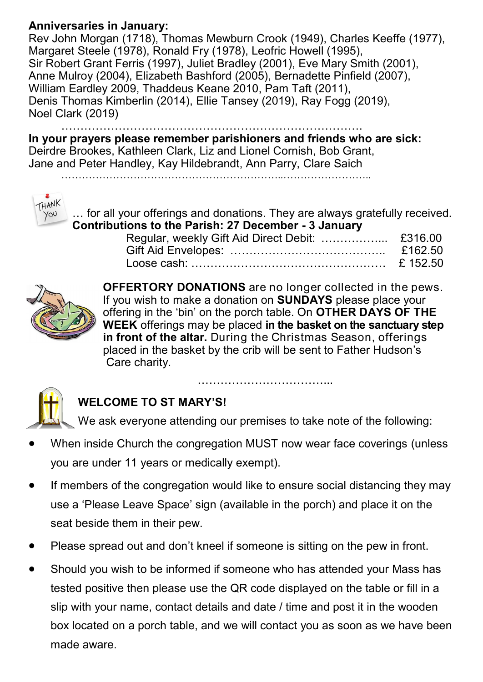### **Anniversaries in January:**

Rev John Morgan (1718), Thomas Mewburn Crook (1949), Charles Keeffe (1977), Margaret Steele (1978), Ronald Fry (1978), Leofric Howell (1995), Sir Robert Grant Ferris (1997), Juliet Bradley (2001), Eve Mary Smith (2001), Anne Mulroy (2004), Elizabeth Bashford (2005), Bernadette Pinfield (2007), William Eardley 2009, Thaddeus Keane 2010, Pam Taft (2011), Denis Thomas Kimberlin (2014), Ellie Tansey (2019), Ray Fogg (2019), Noel Clark (2019)

…………………………………………………………………….

**In your prayers please remember parishioners and friends who are sick:**  Deirdre Brookes, Kathleen Clark, Liz and Lionel Cornish, Bob Grant, Jane and Peter Handley, Kay Hildebrandt, Ann Parry, Clare Saich



… for all your offerings and donations. They are always gratefully received. **Contributions to the Parish: 27 December - 3 January**



**OFFERTORY DONATIONS** are no longer collected in the pews. If you wish to make a donation on **SUNDAYS** please place your offering in the 'bin' on the porch table. On **OTHER DAYS OF THE WEEK** offerings may be placed **in the basket on the sanctuary step in front of the altar.** During the Christmas Season, offerings placed in the basket by the crib will be sent to Father Hudson's Care charity.



## **WELCOME TO ST MARY'S!**

We ask everyone attending our premises to take note of the following:

……………………………...

- When inside Church the congregation MUST now wear face coverings (unless you are under 11 years or medically exempt).
- If members of the congregation would like to ensure social distancing they may use a 'Please Leave Space' sign (available in the porch) and place it on the seat beside them in their pew.
- Please spread out and don't kneel if someone is sitting on the pew in front.
- Should you wish to be informed if someone who has attended your Mass has tested positive then please use the QR code displayed on the table or fill in a slip with your name, contact details and date / time and post it in the wooden box located on a porch table, and we will contact you as soon as we have been made aware.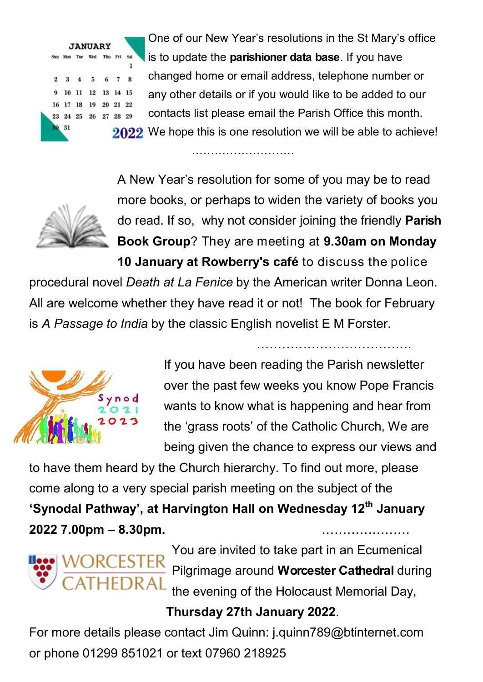One of our New Year's resolutions in the St Mary's office is to update the **parishioner data base**. If you have Sun Mon Tue Wed Thu Fri Sat  $\mathbf{I}$ changed home or email address, telephone number or 3 4 5 6 7 8 10 11 12 13 14 15 any other details or if you would like to be added to our 17 18 19 20 21 22 contacts list please email the Parish Office this month. 23 24 25 26 27 28 29 2022 We hope this is one resolution we will be able to achieve!

……………………………………

A New Year's resolution for some of you may be to read more books, or perhaps to widen the variety of books you do read. If so, why not consider joining the friendly **Parish Book Group**? They are meeting at **9.30am on Monday 10 January at Rowberry's café** to discuss the police

procedural novel *Death at La Fenice* by the American writer Donna Leon. All are welcome whether they have read it or not! The book for February is *A Passage to India* by the classic English novelist E M Forster.



If you have been reading the Parish newsletter over the past few weeks you know Pope Francis wants to know what is happening and hear from the 'grass roots' of the Catholic Church, We are being given the chance to express our views and

……………………………….

to have them heard by the Church hierarchy. To find out more, please come along to a very special parish meeting on the subject of the **'Synodal Pathway', at Harvington Hall on Wednesday 12th January 2022 7.00pm – 8.30pm.** …………………



You are invited to take part in an Ecumenical Pilgrimage around **Worcester Cathedral** during the evening of the Holocaust Memorial Day,

## **Thursday 27th January 2022**.

For more details please contact Jim Quinn: j.quinn789@btinternet.com or phone 01299 851021 or text 07960 218925